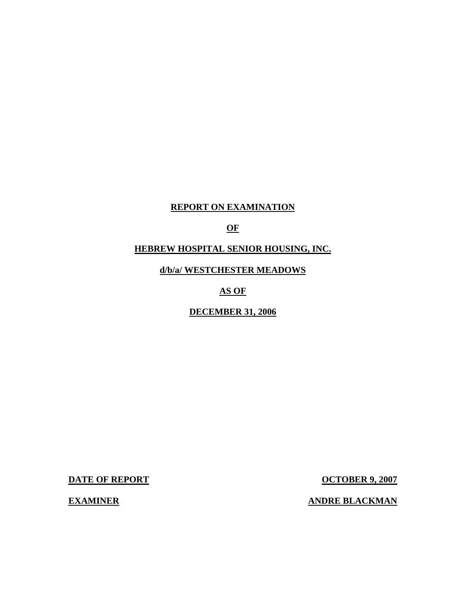## **REPORT ON EXAMINATION**

## **OF**

## **HEBREW HOSPITAL SENIOR HOUSING, INC.**

**d/b/a/ WESTCHESTER MEADOWS** 

**AS OF** 

**DECEMBER 31, 2006** 

**DATE OF REPORT OCTOBER 9, 2007** 

**EXAMINER EXAMINER ANDRE BLACKMAN**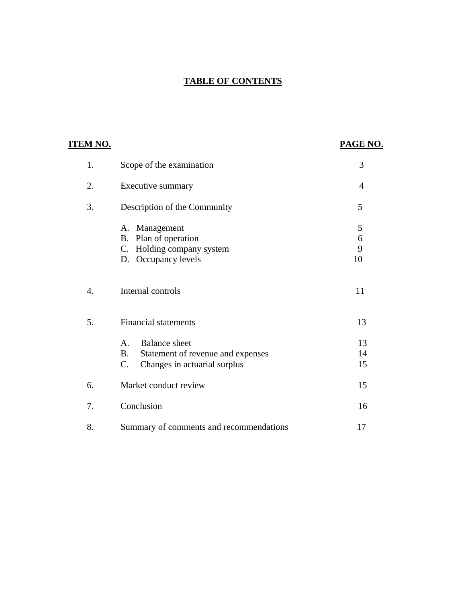## **TABLE OF CONTENTS**

# **ITEM NO. PAGE NO.**  [1. Scope of the examination 3](#page-4-0) 2. Executive summary 4 [3. Description of the Community 5](#page-6-0) [A. Management 5](#page-6-0) [B. Plan of operation 6](#page-7-0) [C. Holding company system 9](#page-10-0) D. Occupancy levels 10 4. Internal controls 11 5. Financial statements 13 A. Balance sheet 13 B. Statement of revenue and expenses 14 C. Changes in actuarial surplus 15 6. Market conduct review 15 [7. Conclusion 16](#page-17-0)  [8. Summary of comments and recommendations 17](#page-18-0)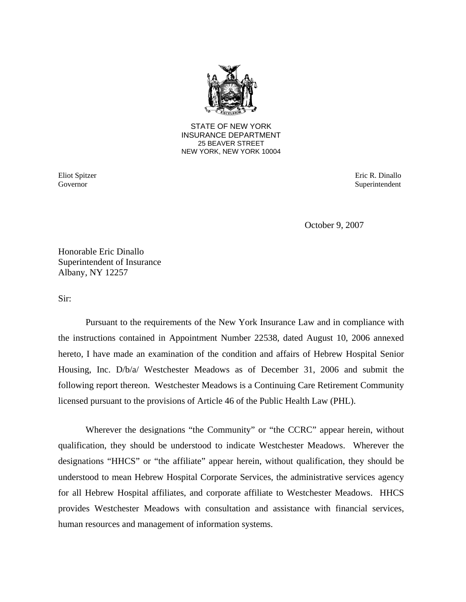

**25 BEAVER STREET** STATE OF NEW YORK INSURANCE DEPARTMENT NEW YORK, NEW YORK 10004

**Eliot Spitzer** Governor

Eric R. Dinallo Superintendent

October 9, 2007

Honorable Eric Dinallo Superintendent of Insurance Albany, NY 12257

Sir:

Pursuant to the requirements of the New York Insurance Law and in compliance with the instructions contained in Appointment Number 22538, dated August 10, 2006 annexed hereto, I have made an examination of the condition and affairs of Hebrew Hospital Senior Housing, Inc. D/b/a/ Westchester Meadows as of December 31, 2006 and submit the following report thereon. Westchester Meadows is a Continuing Care Retirement Community licensed pursuant to the provisions of Article 46 of the Public Health Law (PHL).

Wherever the designations "the Community" or "the CCRC" appear herein, without qualification, they should be understood to indicate Westchester Meadows. Wherever the designations "HHCS" or "the affiliate" appear herein, without qualification, they should be understood to mean Hebrew Hospital Corporate Services, the administrative services agency for all Hebrew Hospital affiliates, and corporate affiliate to Westchester Meadows. HHCS provides Westchester Meadows with consultation and assistance with financial services, human resources and management of information systems.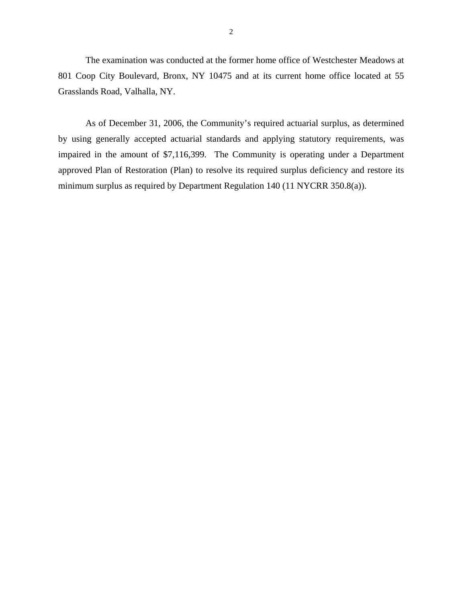The examination was conducted at the former home office of Westchester Meadows at 801 Coop City Boulevard, Bronx, NY 10475 and at its current home office located at 55 Grasslands Road, Valhalla, NY.

As of December 31, 2006, the Community's required actuarial surplus, as determined by using generally accepted actuarial standards and applying statutory requirements, was impaired in the amount of \$7,116,399. The Community is operating under a Department approved Plan of Restoration (Plan) to resolve its required surplus deficiency and restore its minimum surplus as required by Department Regulation 140 (11 NYCRR 350.8(a)).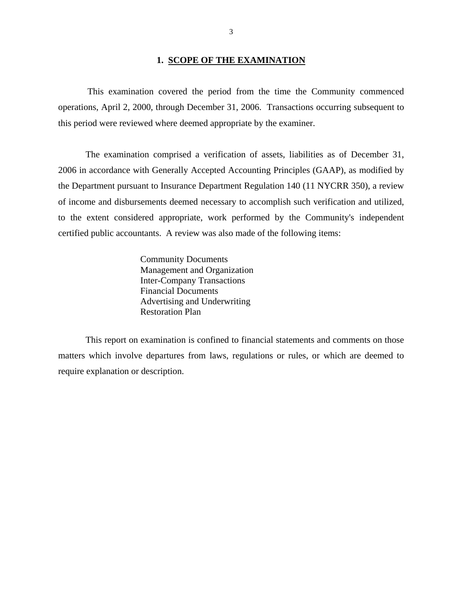#### **1. SCOPE OF THE EXAMINATION**

<span id="page-4-0"></span>This examination covered the period from the time the Community commenced operations, April 2, 2000, through December 31, 2006. Transactions occurring subsequent to this period were reviewed where deemed appropriate by the examiner.

The examination comprised a verification of assets, liabilities as of December 31, 2006 in accordance with Generally Accepted Accounting Principles (GAAP), as modified by the Department pursuant to Insurance Department Regulation 140 (11 NYCRR 350), a review of income and disbursements deemed necessary to accomplish such verification and utilized, to the extent considered appropriate, work performed by the Community's independent certified public accountants. A review was also made of the following items:

> Community Documents Management and Organization Inter-Company Transactions Financial Documents Advertising and Underwriting Restoration Plan

This report on examination is confined to financial statements and comments on those matters which involve departures from laws, regulations or rules, or which are deemed to require explanation or description.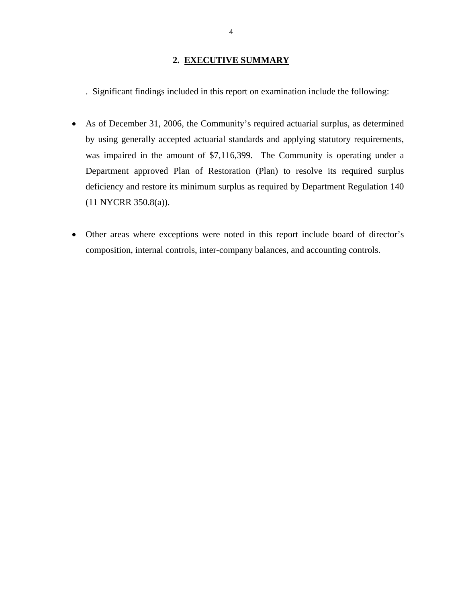#### **2. EXECUTIVE SUMMARY**

. Significant findings included in this report on examination include the following:

- As of December 31, 2006, the Community's required actuarial surplus, as determined by using generally accepted actuarial standards and applying statutory requirements, was impaired in the amount of \$7,116,399. The Community is operating under a Department approved Plan of Restoration (Plan) to resolve its required surplus deficiency and restore its minimum surplus as required by Department Regulation 140 (11 NYCRR 350.8(a)).
- Other areas where exceptions were noted in this report include board of director's composition, internal controls, inter-company balances, and accounting controls.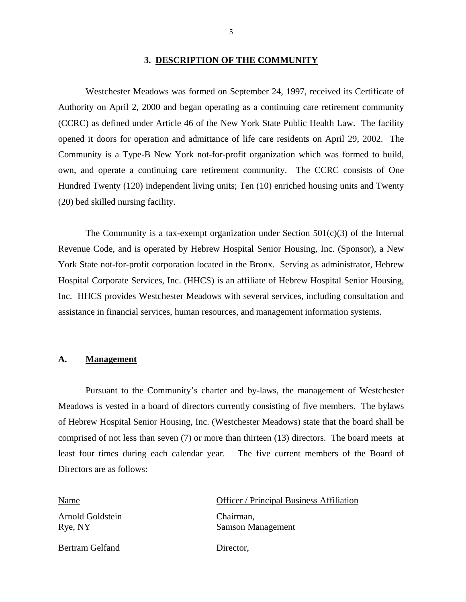#### **3. DESCRIPTION OF THE COMMUNITY**

<span id="page-6-0"></span>Westchester Meadows was formed on September 24, 1997, received its Certificate of Authority on April 2, 2000 and began operating as a continuing care retirement community (CCRC) as defined under Article 46 of the New York State Public Health Law. The facility opened it doors for operation and admittance of life care residents on April 29, 2002. The Community is a Type-B New York not-for-profit organization which was formed to build, own, and operate a continuing care retirement community. The CCRC consists of One Hundred Twenty (120) independent living units; Ten (10) enriched housing units and Twenty (20) bed skilled nursing facility.

The Community is a tax-exempt organization under Section  $501(c)(3)$  of the Internal Revenue Code, and is operated by Hebrew Hospital Senior Housing, Inc. (Sponsor), a New York State not-for-profit corporation located in the Bronx. Serving as administrator, Hebrew Hospital Corporate Services, Inc. (HHCS) is an affiliate of Hebrew Hospital Senior Housing, Inc. HHCS provides Westchester Meadows with several services, including consultation and assistance in financial services, human resources, and management information systems.

#### A. **Management**

Pursuant to the Community's charter and by-laws, the management of Westchester Meadows is vested in a board of directors currently consisting of five members. The bylaws of Hebrew Hospital Senior Housing, Inc. (Westchester Meadows) state that the board shall be comprised of not less than seven (7) or more than thirteen (13) directors. The board meets at least four times during each calendar year. The five current members of the Board of Directors are as follows:

| Name                        | <b>Officer</b> / Principal Business Affiliation |  |  |
|-----------------------------|-------------------------------------------------|--|--|
| Arnold Goldstein<br>Rye, NY | Chairman,<br><b>Samson Management</b>           |  |  |
| Bertram Gelfand             | Director,                                       |  |  |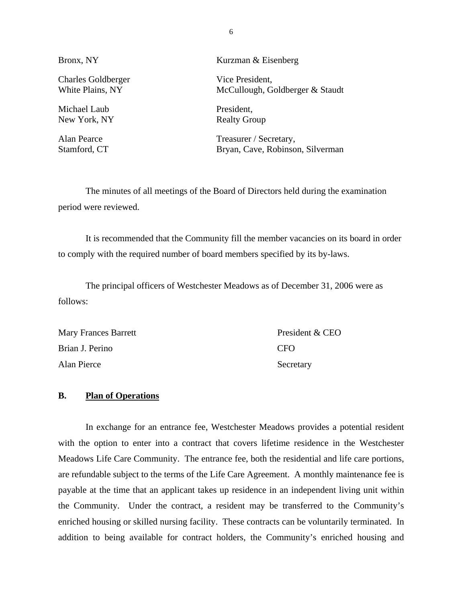Charles Goldberger Vice President,

Michael Laub President, New York, NY Realty Group

<span id="page-7-0"></span>Bronx, NY Kurzman & Eisenberg

White Plains, NY McCullough, Goldberger & Staudt

Alan Pearce Treasurer / Secretary, Stamford, CT Bryan, Cave, Robinson, Silverman

The minutes of all meetings of the Board of Directors held during the examination period were reviewed.

It is recommended that the Community fill the member vacancies on its board in order to comply with the required number of board members specified by its by-laws.

The principal officers of Westchester Meadows as of December 31, 2006 were as follows:

| Mary Frances Barrett | President & CEO |
|----------------------|-----------------|
| Brian J. Perino      | <b>CFO</b>      |
| Alan Pierce          | Secretary       |

#### **B. Plan of Operations**

In exchange for an entrance fee, Westchester Meadows provides a potential resident with the option to enter into a contract that covers lifetime residence in the Westchester Meadows Life Care Community. The entrance fee, both the residential and life care portions, are refundable subject to the terms of the Life Care Agreement. A monthly maintenance fee is payable at the time that an applicant takes up residence in an independent living unit within the Community. Under the contract, a resident may be transferred to the Community's enriched housing or skilled nursing facility. These contracts can be voluntarily terminated. In addition to being available for contract holders, the Community's enriched housing and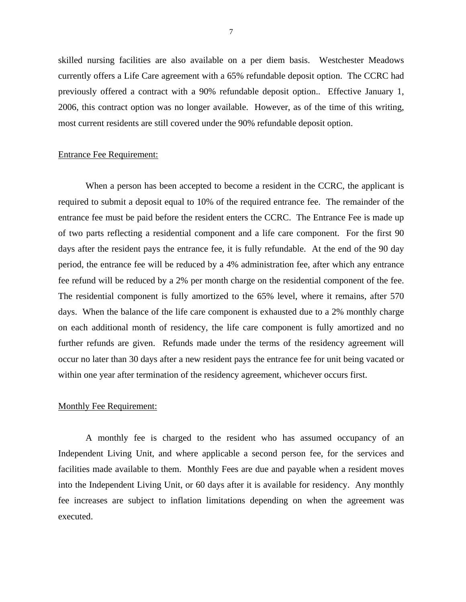skilled nursing facilities are also available on a per diem basis. Westchester Meadows currently offers a Life Care agreement with a 65% refundable deposit option. The CCRC had previously offered a contract with a 90% refundable deposit option.. Effective January 1, 2006, this contract option was no longer available. However, as of the time of this writing, most current residents are still covered under the 90% refundable deposit option.

#### Entrance Fee Requirement:

When a person has been accepted to become a resident in the CCRC, the applicant is required to submit a deposit equal to 10% of the required entrance fee. The remainder of the entrance fee must be paid before the resident enters the CCRC. The Entrance Fee is made up of two parts reflecting a residential component and a life care component. For the first 90 days after the resident pays the entrance fee, it is fully refundable. At the end of the 90 day period, the entrance fee will be reduced by a 4% administration fee, after which any entrance fee refund will be reduced by a 2% per month charge on the residential component of the fee. The residential component is fully amortized to the 65% level, where it remains, after 570 days. When the balance of the life care component is exhausted due to a 2% monthly charge on each additional month of residency, the life care component is fully amortized and no further refunds are given. Refunds made under the terms of the residency agreement will occur no later than 30 days after a new resident pays the entrance fee for unit being vacated or within one year after termination of the residency agreement, whichever occurs first.

#### Monthly Fee Requirement:

A monthly fee is charged to the resident who has assumed occupancy of an Independent Living Unit, and where applicable a second person fee, for the services and facilities made available to them. Monthly Fees are due and payable when a resident moves into the Independent Living Unit, or 60 days after it is available for residency. Any monthly fee increases are subject to inflation limitations depending on when the agreement was executed.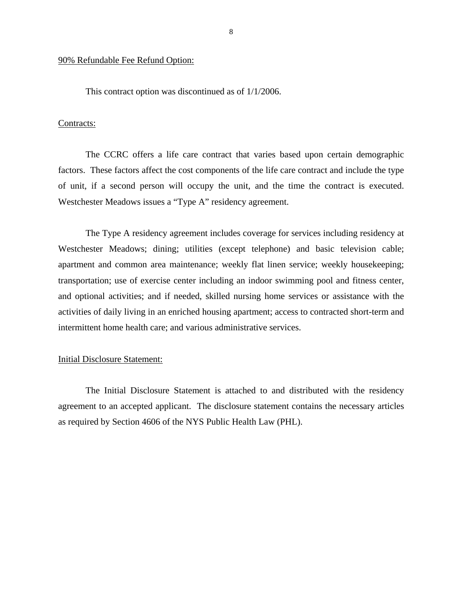#### 90% Refundable Fee Refund Option:

This contract option was discontinued as of 1/1/2006.

#### Contracts:

The CCRC offers a life care contract that varies based upon certain demographic factors. These factors affect the cost components of the life care contract and include the type of unit, if a second person will occupy the unit, and the time the contract is executed. Westchester Meadows issues a "Type A" residency agreement.

The Type A residency agreement includes coverage for services including residency at Westchester Meadows; dining; utilities (except telephone) and basic television cable; apartment and common area maintenance; weekly flat linen service; weekly housekeeping; transportation; use of exercise center including an indoor swimming pool and fitness center, and optional activities; and if needed, skilled nursing home services or assistance with the activities of daily living in an enriched housing apartment; access to contracted short-term and intermittent home health care; and various administrative services.

#### Initial Disclosure Statement:

The Initial Disclosure Statement is attached to and distributed with the residency agreement to an accepted applicant. The disclosure statement contains the necessary articles as required by Section 4606 of the NYS Public Health Law (PHL).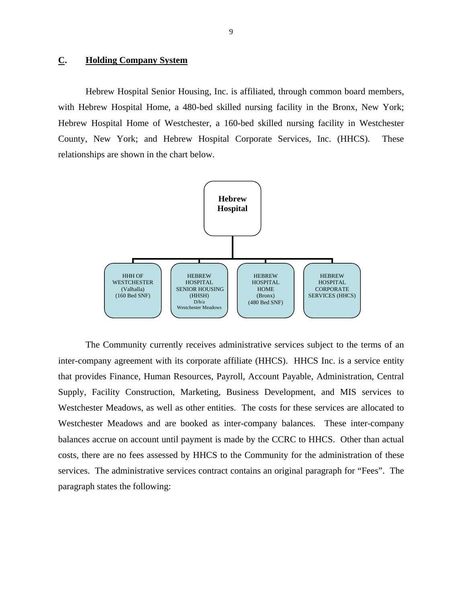#### <span id="page-10-0"></span>**C. Holding Company System**

Hebrew Hospital Senior Housing, Inc. is affiliated, through common board members, with Hebrew Hospital Home, a 480-bed skilled nursing facility in the Bronx, New York; Hebrew Hospital Home of Westchester, a 160-bed skilled nursing facility in Westchester County, New York; and Hebrew Hospital Corporate Services, Inc. (HHCS). These relationships are shown in the chart below.



The Community currently receives administrative services subject to the terms of an inter-company agreement with its corporate affiliate (HHCS). HHCS Inc. is a service entity that provides Finance, Human Resources, Payroll, Account Payable, Administration, Central Supply, Facility Construction, Marketing, Business Development, and MIS services to Westchester Meadows, as well as other entities. The costs for these services are allocated to Westchester Meadows and are booked as inter-company balances. These inter-company balances accrue on account until payment is made by the CCRC to HHCS. Other than actual costs, there are no fees assessed by HHCS to the Community for the administration of these services. The administrative services contract contains an original paragraph for "Fees". The paragraph states the following: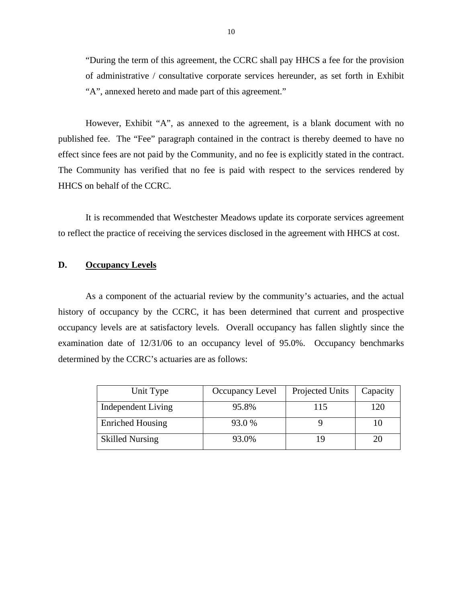"During the term of this agreement, the CCRC shall pay HHCS a fee for the provision of administrative / consultative corporate services hereunder, as set forth in Exhibit "A", annexed hereto and made part of this agreement."

However, Exhibit "A", as annexed to the agreement, is a blank document with no published fee. The "Fee" paragraph contained in the contract is thereby deemed to have no effect since fees are not paid by the Community, and no fee is explicitly stated in the contract. The Community has verified that no fee is paid with respect to the services rendered by HHCS on behalf of the CCRC.

It is recommended that Westchester Meadows update its corporate services agreement to reflect the practice of receiving the services disclosed in the agreement with HHCS at cost.

#### **D. Occupancy Levels**

As a component of the actuarial review by the community's actuaries, and the actual history of occupancy by the CCRC, it has been determined that current and prospective occupancy levels are at satisfactory levels. Overall occupancy has fallen slightly since the examination date of 12/31/06 to an occupancy level of 95.0%. Occupancy benchmarks determined by the CCRC's actuaries are as follows:

| Unit Type                 | Occupancy Level | Projected Units | Capacity |
|---------------------------|-----------------|-----------------|----------|
| <b>Independent Living</b> | 95.8%           | 115             | 120      |
| <b>Enriched Housing</b>   | 93.0 %          |                 |          |
| <b>Skilled Nursing</b>    | 93.0%           |                 |          |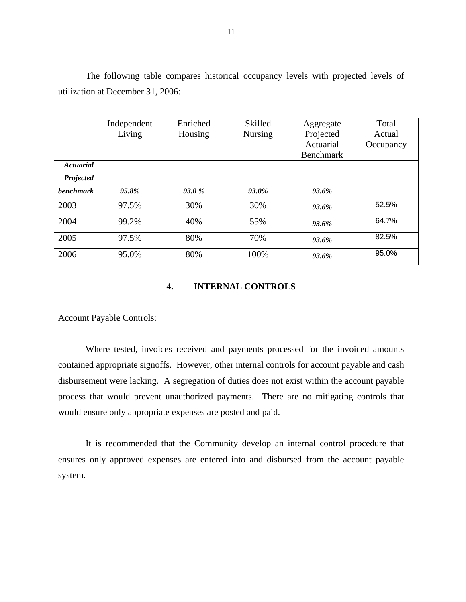|                  | Independent | Enriched | Skilled        | Aggregate        | Total     |
|------------------|-------------|----------|----------------|------------------|-----------|
|                  | Living      | Housing  | <b>Nursing</b> | Projected        | Actual    |
|                  |             |          |                | Actuarial        | Occupancy |
|                  |             |          |                | <b>Benchmark</b> |           |
| <b>Actuarial</b> |             |          |                |                  |           |
| Projected        |             |          |                |                  |           |
| <b>benchmark</b> | 95.8%       | 93.0%    | 93.0%          | 93.6%            |           |
| 2003             | 97.5%       | 30%      | 30%            | $93.6\%$         | 52.5%     |
| 2004             | 99.2%       | 40%      | 55%            | 93.6%            | 64.7%     |
| 2005             | 97.5%       | 80%      | 70%            | 93.6%            | 82.5%     |
| 2006             | 95.0%       | 80%      | 100%           | $93.6\%$         | 95.0%     |

The following table compares historical occupancy levels with projected levels of utilization at December 31, 2006:

## **4. INTERNAL CONTROLS**

#### Account Payable Controls:

Where tested, invoices received and payments processed for the invoiced amounts contained appropriate signoffs. However, other internal controls for account payable and cash disbursement were lacking. A segregation of duties does not exist within the account payable process that would prevent unauthorized payments. There are no mitigating controls that would ensure only appropriate expenses are posted and paid.

It is recommended that the Community develop an internal control procedure that ensures only approved expenses are entered into and disbursed from the account payable system.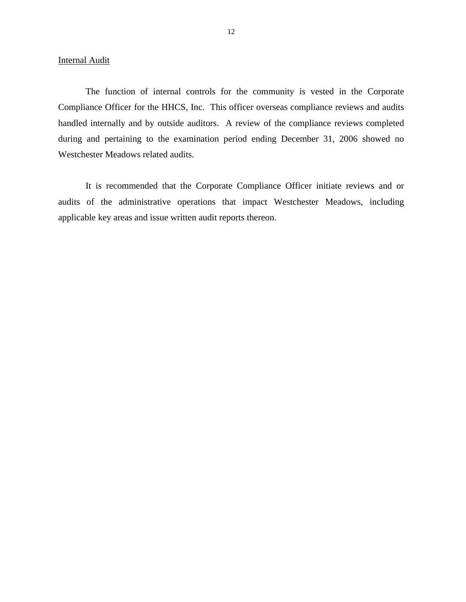Internal Audit

The function of internal controls for the community is vested in the Corporate Compliance Officer for the HHCS, Inc. This officer overseas compliance reviews and audits handled internally and by outside auditors. A review of the compliance reviews completed during and pertaining to the examination period ending December 31, 2006 showed no Westchester Meadows related audits.

It is recommended that the Corporate Compliance Officer initiate reviews and or audits of the administrative operations that impact Westchester Meadows, including applicable key areas and issue written audit reports thereon.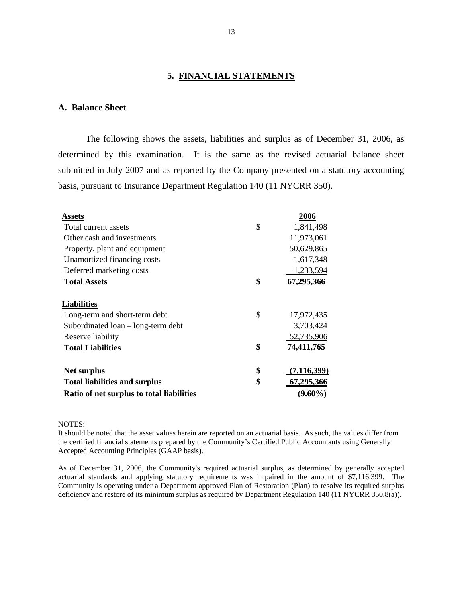#### **5. FINANCIAL STATEMENTS**

#### **A. Balance Sheet**

The following shows the assets, liabilities and surplus as of December 31, 2006, as determined by this examination. It is the same as the revised actuarial balance sheet submitted in July 2007 and as reported by the Company presented on a statutory accounting basis, pursuant to Insurance Department Regulation 140 (11 NYCRR 350).

| <b>Assets</b>                             | 2006                |
|-------------------------------------------|---------------------|
| Total current assets                      | \$<br>1,841,498     |
| Other cash and investments                | 11,973,061          |
| Property, plant and equipment             | 50,629,865          |
| Unamortized financing costs               | 1,617,348           |
| Deferred marketing costs                  | 1,233,594           |
| <b>Total Assets</b>                       | \$<br>67,295,366    |
| <b>Liabilities</b>                        |                     |
| Long-term and short-term debt             | \$<br>17,972,435    |
| Subordinated loan – long-term debt        | 3,703,424           |
| Reserve liability                         | 52,735,906          |
| <b>Total Liabilities</b>                  | \$<br>74,411,765    |
| <b>Net surplus</b>                        | \$<br>(7, 116, 399) |
| <b>Total liabilities and surplus</b>      | \$<br>67,295,366    |
| Ratio of net surplus to total liabilities | $(9.60\%)$          |

#### NOTES:

It should be noted that the asset values herein are reported on an actuarial basis. As such, the values differ from the certified financial statements prepared by the Community's Certified Public Accountants using Generally Accepted Accounting Principles (GAAP basis).

 Community is operating under a Department approved Plan of Restoration (Plan) to resolve its required surplus As of December 31, 2006, the Community's required actuarial surplus, as determined by generally accepted actuarial standards and applying statutory requirements was impaired in the amount of \$7,116,399. The deficiency and restore of its minimum surplus as required by Department Regulation 140 (11 NYCRR 350.8(a)).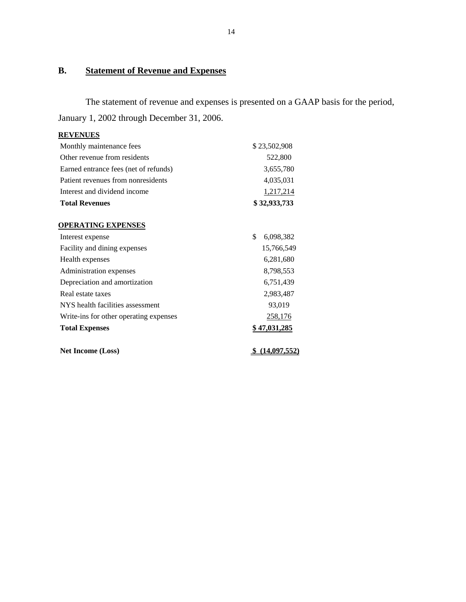## **B. Statement of Revenue and Expenses**

The statement of revenue and expenses is presented on a GAAP basis for the period, January 1, 2002 through December 31, 2006.

| <b>REVENUES</b>                        |                 |
|----------------------------------------|-----------------|
| Monthly maintenance fees               | \$23,502,908    |
| Other revenue from residents           | 522,800         |
| Earned entrance fees (net of refunds)  | 3,655,780       |
| Patient revenues from nonresidents     | 4,035,031       |
| Interest and dividend income           | 1,217,214       |
| <b>Total Revenues</b>                  | \$32,933,733    |
| <b>OPERATING EXPENSES</b>              |                 |
| Interest expense                       | \$<br>6,098,382 |
| Facility and dining expenses           | 15,766,549      |
| Health expenses                        | 6,281,680       |
| Administration expenses                | 8,798,553       |
| Depreciation and amortization          | 6,751,439       |
| Real estate taxes                      | 2,983,487       |
| NYS health facilities assessment       | 93,019          |
| Write-ins for other operating expenses | 258,176         |
| <b>Total Expenses</b>                  | \$47,031,285    |
| <b>Net Income (Loss)</b>               | (14,097,552)    |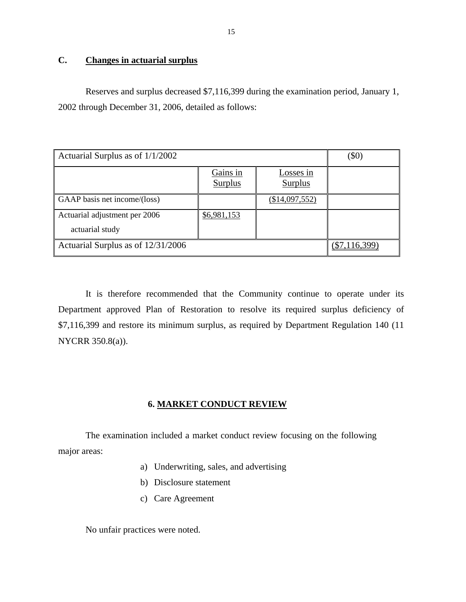## **C. Changes in actuarial surplus**

Reserves and surplus decreased \$7,116,399 during the examination period, January 1, 2002 through December 31, 2006, detailed as follows:

| Actuarial Surplus as of 1/1/2002                 |                            |                             | (\$0) |
|--------------------------------------------------|----------------------------|-----------------------------|-------|
|                                                  | Gains in<br><b>Surplus</b> | Losses in<br><b>Surplus</b> |       |
| GAAP basis net income/(loss)                     |                            | (\$14,097,552)              |       |
| Actuarial adjustment per 2006<br>actuarial study | \$6,981,153                |                             |       |
| Actuarial Surplus as of 12/31/2006               |                            |                             |       |

It is therefore recommended that the Community continue to operate under its Department approved Plan of Restoration to resolve its required surplus deficiency of \$7,116,399 and restore its minimum surplus, as required by Department Regulation 140 (11 NYCRR 350.8(a)).

## **6. MARKET CONDUCT REVIEW**

The examination included a market conduct review focusing on the following major areas:

- a) Underwriting, sales, and advertising
- b) Disclosure statement
- c) Care Agreement

No unfair practices were noted.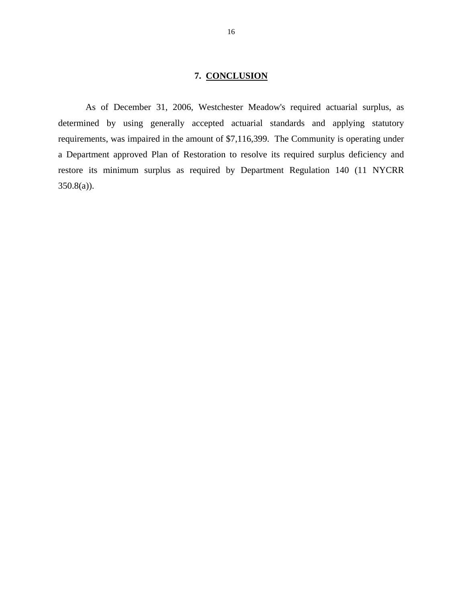## **7. CONCLUSION**

<span id="page-17-0"></span>As of December 31, 2006, Westchester Meadow's required actuarial surplus, as determined by using generally accepted actuarial standards and applying statutory requirements, was impaired in the amount of \$7,116,399. The Community is operating under a Department approved Plan of Restoration to resolve its required surplus deficiency and restore its minimum surplus as required by Department Regulation 140 (11 NYCRR 350.8(a)).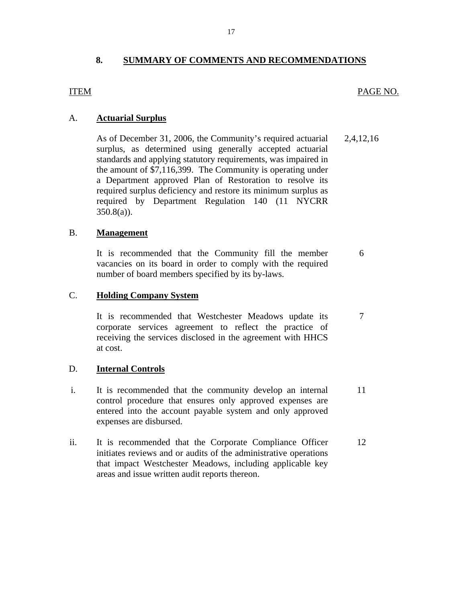## <span id="page-18-0"></span>**8. SUMMARY OF COMMENTS AND RECOMMENDATIONS**

#### **ITEM**

## PAGE NO.

#### A. **Actuarial Surplus**

As of December 31, 2006, the Community's required actuarial 2,4,12,16 surplus, as determined using generally accepted actuarial standards and applying statutory requirements, was impaired in the amount of \$7,116,399. The Community is operating under a Department approved Plan of Restoration to resolve its required surplus deficiency and restore its minimum surplus as required by Department Regulation 140 (11 NYCRR  $350.8(a)$ ).

#### B. **Management**

It is recommended that the Community fill the member 6 vacancies on its board in order to comply with the required number of board members specified by its by-laws.

#### C. **Holding Company System**

It is recommended that Westchester Meadows update its 7 corporate services agreement to reflect the practice of receiving the services disclosed in the agreement with HHCS at cost.

#### D. **Internal Controls**

- i. It is recommended that the community develop an internal 11 control procedure that ensures only approved expenses are entered into the account payable system and only approved expenses are disbursed.
- ii. It is recommended that the Corporate Compliance Officer 12 initiates reviews and or audits of the administrative operations that impact Westchester Meadows, including applicable key areas and issue written audit reports thereon.